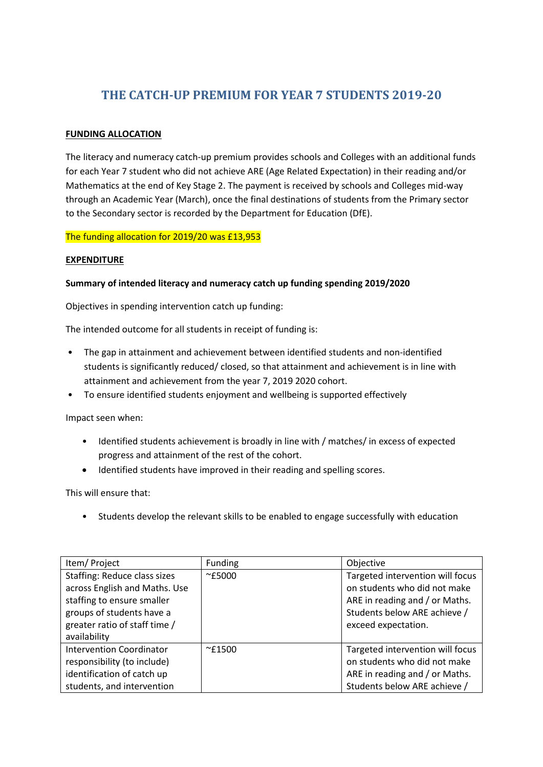## **THE CATCH-UP PREMIUM FOR YEAR 7 STUDENTS 2019-20**

## **FUNDING ALLOCATION**

The literacy and numeracy catch-up premium provides schools and Colleges with an additional funds for each Year 7 student who did not achieve ARE (Age Related Expectation) in their reading and/or Mathematics at the end of Key Stage 2. The payment is received by schools and Colleges mid-way through an Academic Year (March), once the final destinations of students from the Primary sector to the Secondary sector is recorded by the Department for Education (DfE).

The funding allocation for 2019/20 was £13,953

## **EXPENDITURE**

## **Summary of intended literacy and numeracy catch up funding spending 2019/2020**

Objectives in spending intervention catch up funding:

The intended outcome for all students in receipt of funding is:

- The gap in attainment and achievement between identified students and non-identified students is significantly reduced/ closed, so that attainment and achievement is in line with attainment and achievement from the year 7, 2019 2020 cohort.
- To ensure identified students enjoyment and wellbeing is supported effectively

Impact seen when:

- Identified students achievement is broadly in line with / matches/ in excess of expected progress and attainment of the rest of the cohort.
- Identified students have improved in their reading and spelling scores.

This will ensure that:

• Students develop the relevant skills to be enabled to engage successfully with education

| Item/ Project                                                                                                                                                             | <b>Funding</b>  | Objective                                                                                                                                                 |
|---------------------------------------------------------------------------------------------------------------------------------------------------------------------------|-----------------|-----------------------------------------------------------------------------------------------------------------------------------------------------------|
| Staffing: Reduce class sizes<br>across English and Maths. Use<br>staffing to ensure smaller<br>groups of students have a<br>greater ratio of staff time /<br>availability | $^{\sim}$ £5000 | Targeted intervention will focus<br>on students who did not make<br>ARE in reading and / or Maths.<br>Students below ARE achieve /<br>exceed expectation. |
| <b>Intervention Coordinator</b><br>responsibility (to include)<br>identification of catch up<br>students, and intervention                                                | $\sim$ £1500    | Targeted intervention will focus<br>on students who did not make<br>ARE in reading and / or Maths.<br>Students below ARE achieve /                        |